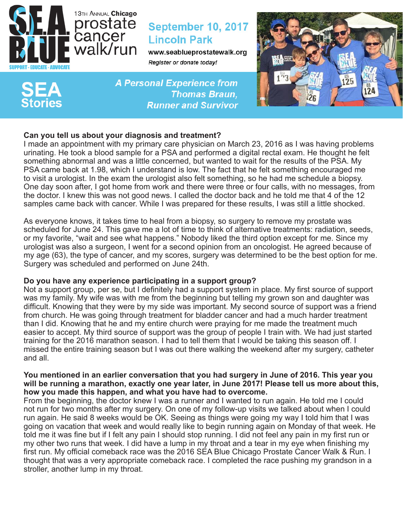

# **September 10, 2017 Lincoln Park**

www.seablueprostatewalk.org Register or donate today!

**A Personal Experience from Thomas Braun, Runner and Survivor** 



# **Can you tell us about your diagnosis and treatment?**

I made an appointment with my primary care physician on March 23, 2016 as I was having problems urinating. He took a blood sample for a PSA and performed a digital rectal exam. He thought he felt something abnormal and was a little concerned, but wanted to wait for the results of the PSA. My PSA came back at 1.98, which I understand is low. The fact that he felt something encouraged me to visit a urologist. In the exam the urologist also felt something, so he had me schedule a biopsy. One day soon after, I got home from work and there were three or four calls, with no messages, from the doctor. I knew this was not good news. I called the doctor back and he told me that 4 of the 12 samples came back with cancer. While I was prepared for these results, I was still a little shocked.

As everyone knows, it takes time to heal from a biopsy, so surgery to remove my prostate was scheduled for June 24. This gave me a lot of time to think of alternative treatments: radiation, seeds, or my favorite, "wait and see what happens." Nobody liked the third option except for me. Since my urologist was also a surgeon, I went for a second opinion from an oncologist. He agreed because of my age (63), the type of cancer, and my scores, surgery was determined to be the best option for me. Surgery was scheduled and performed on June 24th.

# **Do you have any experience participating in a support group?**

Not a support group, per se, but I definitely had a support system in place. My first source of support was my family. My wife was with me from the beginning but telling my grown son and daughter was difficult. Knowing that they were by my side was important. My second source of support was a friend from church. He was going through treatment for bladder cancer and had a much harder treatment than I did. Knowing that he and my entire church were praying for me made the treatment much easier to accept. My third source of support was the group of people I train with. We had just started training for the 2016 marathon season. I had to tell them that I would be taking this season off. I missed the entire training season but I was out there walking the weekend after my surgery, catheter and all.

### **You mentioned in an earlier conversation that you had surgery in June of 2016. This year you will be running a marathon, exactly one year later, in June 2017! Please tell us more about this, how you made this happen, and what you have had to overcome.**

From the beginning, the doctor knew I was a runner and I wanted to run again. He told me I could not run for two months after my surgery. On one of my follow-up visits we talked about when I could run again. He said 8 weeks would be OK. Seeing as things were going my way I told him that I was going on vacation that week and would really like to begin running again on Monday of that week. He told me it was fine but if I felt any pain I should stop running. I did not feel any pain in my first run or my other two runs that week. I did have a lump in my throat and a tear in my eye when finishing my first run. My official comeback race was the 2016 SEA Blue Chicago Prostate Cancer Walk & Run. I thought that was a very appropriate comeback race. I completed the race pushing my grandson in a stroller, another lump in my throat.